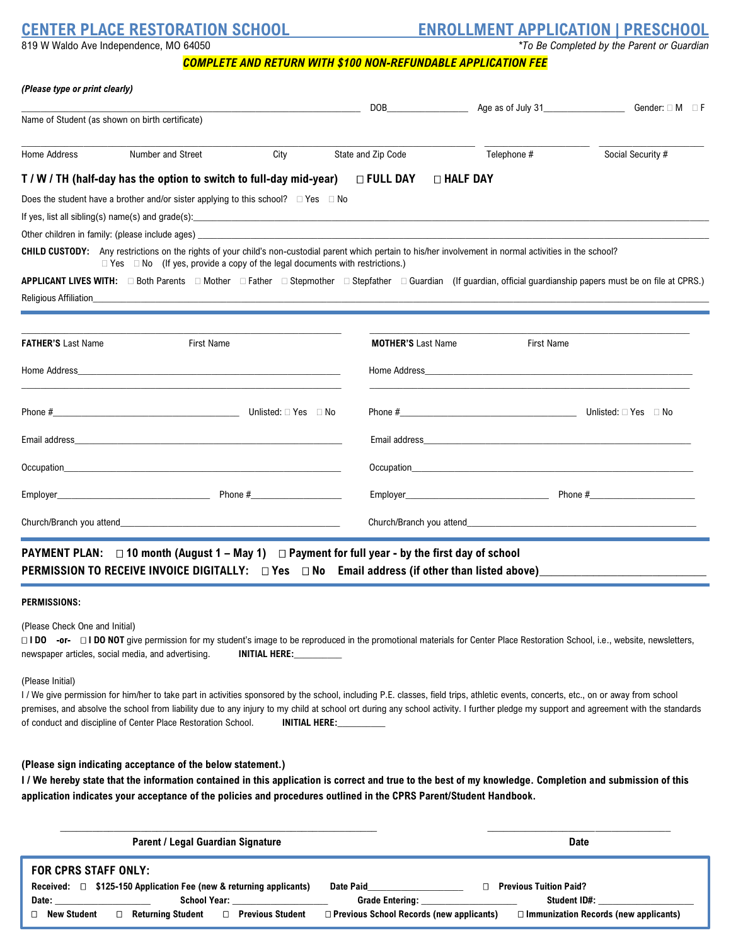**CENTER PLACE RESTORATION SCHOOL ENROLLMENT APPLICATION | PRESCHOOL**

819 W Waldo Ave Independence, MO 64050 *\*To Be Completed by the Parent or Guardian*

|  |  |  | 819 W Waldo Ave Independence, MO 64050 |  |  |  |
|--|--|--|----------------------------------------|--|--|--|
|  |  |  |                                        |  |  |  |

*COMPLETE AND RETURN WITH \$100 NON-REFUNDABLE APPLICATION FEE*

|                                                 |                                                                                                                                                                                                                                                        |                            | DOB <b>DOB</b>                          |                   |                                                                                                                                                                                                                                |
|-------------------------------------------------|--------------------------------------------------------------------------------------------------------------------------------------------------------------------------------------------------------------------------------------------------------|----------------------------|-----------------------------------------|-------------------|--------------------------------------------------------------------------------------------------------------------------------------------------------------------------------------------------------------------------------|
| Name of Student (as shown on birth certificate) |                                                                                                                                                                                                                                                        |                            |                                         |                   |                                                                                                                                                                                                                                |
| Home Address                                    | Number and Street                                                                                                                                                                                                                                      | State and Zip Code<br>City |                                         | Telephone #       | Social Security #                                                                                                                                                                                                              |
|                                                 | T / W / TH (half-day has the option to switch to full-day mid-year)                                                                                                                                                                                    |                            | $\square$ full day<br><b>D</b> HALF DAY |                   |                                                                                                                                                                                                                                |
|                                                 | Does the student have a brother and/or sister applying to this school? $\Box$ Yes $\Box$ No                                                                                                                                                            |                            |                                         |                   |                                                                                                                                                                                                                                |
|                                                 |                                                                                                                                                                                                                                                        |                            |                                         |                   |                                                                                                                                                                                                                                |
|                                                 |                                                                                                                                                                                                                                                        |                            |                                         |                   |                                                                                                                                                                                                                                |
|                                                 | CHILD CUSTODY: Any restrictions on the rights of your child's non-custodial parent which pertain to his/her involvement in normal activities in the school?<br>$\Box$ Yes $\Box$ No (If yes, provide a copy of the legal documents with restrictions.) |                            |                                         |                   |                                                                                                                                                                                                                                |
|                                                 | APPLICANT LIVES WITH: □ Both Parents □ Mother □ Father □ Stepmother □ Stepfather □ Guardian (If guardian, official guardianship papers must be on file at CPRS.)                                                                                       |                            |                                         |                   |                                                                                                                                                                                                                                |
|                                                 |                                                                                                                                                                                                                                                        |                            |                                         |                   |                                                                                                                                                                                                                                |
|                                                 |                                                                                                                                                                                                                                                        |                            |                                         |                   |                                                                                                                                                                                                                                |
|                                                 |                                                                                                                                                                                                                                                        |                            |                                         |                   |                                                                                                                                                                                                                                |
| <b>FATHER'S Last Name</b>                       | <b>First Name</b>                                                                                                                                                                                                                                      |                            | <b>MOTHER'S Last Name</b>               | <b>First Name</b> |                                                                                                                                                                                                                                |
|                                                 |                                                                                                                                                                                                                                                        |                            |                                         |                   |                                                                                                                                                                                                                                |
|                                                 |                                                                                                                                                                                                                                                        |                            |                                         |                   |                                                                                                                                                                                                                                |
|                                                 |                                                                                                                                                                                                                                                        |                            |                                         |                   | Email address and the control of the control of the control of the control of the control of the control of the control of the control of the control of the control of the control of the control of the control of the contr |
|                                                 | Occupation <b>Contract Contract Contract Contract Contract Contract Contract Contract Contract Contract Contract Contract Contract Contract Contract Contract Contract Contract Contract Contract Contract Contract Contract Con</b>                   |                            |                                         |                   | Occupation <b>Contained Acts Contained Acts Contained Acts Contained Acts Contained Acts Contained Acts Contained Acts Contained Acts Contained Acts Contained Acts Contained Acts Contained Acts Contai</b>                   |
|                                                 |                                                                                                                                                                                                                                                        |                            |                                         |                   |                                                                                                                                                                                                                                |

# **PAYMENT PLAN: 10 month (August 1 – May 1) Payment for full year - by the first day of school PERMISSION TO RECEIVE INVOICE DIGITALLY:**  $\Box$  Yes  $\Box$  No Email address (if other than listed above)

#### **PERMISSIONS:**

(Please Check One and Initial)

□ **I DO -or-** □ **I DO NOT** give permission for my student's image to be reproduced in the promotional materials for Center Place Restoration School, i.e., website, newsletters, newspaper articles, social media, and advertising. **INITIAL HERE:** 

#### (Please Initial)

I / We give permission for him/her to take part in activities sponsored by the school, including P.E. classes, field trips, athletic events, concerts, etc., on or away from school premises, and absolve the school from liability due to any injury to my child at school ort during any school activity. I further pledge my support and agreement with the standards of conduct and discipline of Center Place Restoration School. **INITIAL HERE:\_\_\_\_\_\_\_\_\_\_**

#### **(Please sign indicating acceptance of the below statement.)**

**I / We hereby state that the information contained in this application is correct and true to the best of my knowledge. Completion and submission of this application indicates your acceptance of the policies and procedures outlined in the CPRS Parent/Student Handbook.**

| <b>Parent / Legal Guardian Signature</b>                                                                                                                                                                                                                                                                                                                                                                                   | <b>Date</b>                                                                                                                                                                             |
|----------------------------------------------------------------------------------------------------------------------------------------------------------------------------------------------------------------------------------------------------------------------------------------------------------------------------------------------------------------------------------------------------------------------------|-----------------------------------------------------------------------------------------------------------------------------------------------------------------------------------------|
| <b>FOR CPRS STAFF ONLY:</b><br>Received: $\Box$ \$125-150 Application Fee (new & returning applicants)<br>School Year: the control of the control of the control of the control of the control of the control of the control of the control of the control of the control of the control of the control of the control of the control of<br>Date:<br>□ Returning Student<br>□ Previous Student<br><b>New Student</b><br>П. | Date Paid<br><b>Previous Tuition Paid?</b><br>Student ID#:<br><b>Grade Entering:</b><br>$\Box$ Previous School Records (new applicants)<br>$\Box$ Immunization Records (new applicants) |